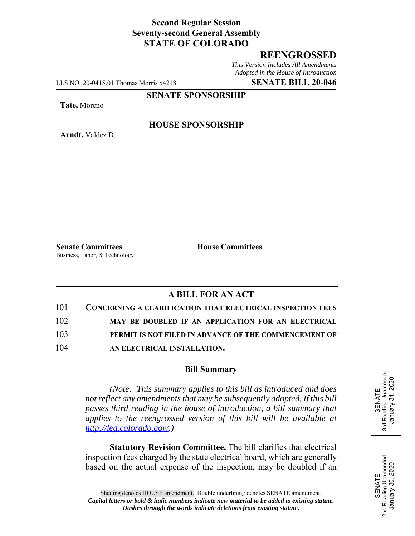# **Second Regular Session Seventy-second General Assembly STATE OF COLORADO**

# **REENGROSSED**

*This Version Includes All Amendments Adopted in the House of Introduction*

LLS NO. 20-0415.01 Thomas Morris x4218 **SENATE BILL 20-046**

#### **SENATE SPONSORSHIP**

**Tate,** Moreno

**Arndt,** Valdez D.

### **HOUSE SPONSORSHIP**

**Senate Committees House Committees** Business, Labor, & Technology

# **A BILL FOR AN ACT**

| 101 | <b>CONCERNING A CLARIFICATION THAT ELECTRICAL INSPECTION FEES</b> |
|-----|-------------------------------------------------------------------|
| 102 | MAY BE DOUBLED IF AN APPLICATION FOR AN ELECTRICAL                |
| 103 | PERMIT IS NOT FILED IN ADVANCE OF THE COMMENCEMENT OF             |
| 104 | AN ELECTRICAL INSTALLATION.                                       |

#### **Bill Summary**

*(Note: This summary applies to this bill as introduced and does not reflect any amendments that may be subsequently adopted. If this bill passes third reading in the house of introduction, a bill summary that applies to the reengrossed version of this bill will be available at http://leg.colorado.gov/.)*

**Statutory Revision Committee.** The bill clarifies that electrical inspection fees charged by the state electrical board, which are generally based on the actual expense of the inspection, may be doubled if an



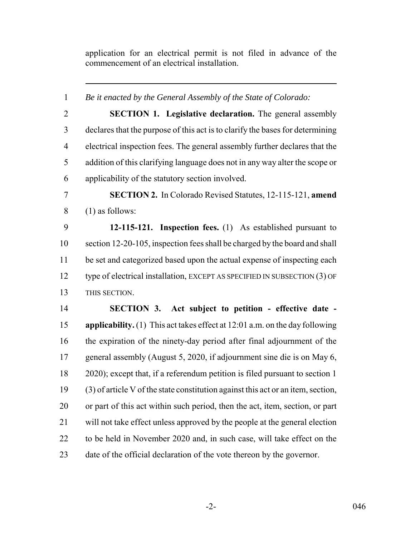application for an electrical permit is not filed in advance of the commencement of an electrical installation.

 *Be it enacted by the General Assembly of the State of Colorado:* **SECTION 1. Legislative declaration.** The general assembly declares that the purpose of this act is to clarify the bases for determining electrical inspection fees. The general assembly further declares that the addition of this clarifying language does not in any way alter the scope or applicability of the statutory section involved. **SECTION 2.** In Colorado Revised Statutes, 12-115-121, **amend** (1) as follows: **12-115-121. Inspection fees.** (1) As established pursuant to section 12-20-105, inspection fees shall be charged by the board and shall be set and categorized based upon the actual expense of inspecting each type of electrical installation, EXCEPT AS SPECIFIED IN SUBSECTION (3) OF THIS SECTION. **SECTION 3. Act subject to petition - effective date - applicability.** (1) This act takes effect at 12:01 a.m. on the day following the expiration of the ninety-day period after final adjournment of the general assembly (August 5, 2020, if adjournment sine die is on May 6, 2020); except that, if a referendum petition is filed pursuant to section 1 (3) of article V of the state constitution against this act or an item, section, or part of this act within such period, then the act, item, section, or part will not take effect unless approved by the people at the general election to be held in November 2020 and, in such case, will take effect on the date of the official declaration of the vote thereon by the governor.